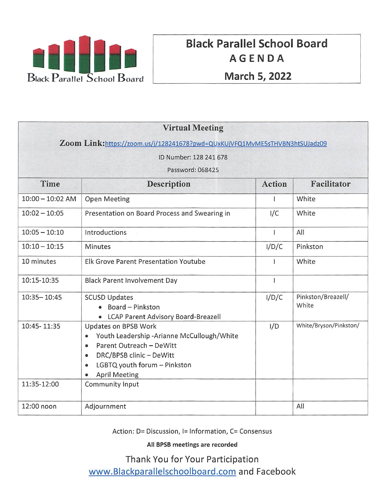

# Black Parallel School Board AGENDA

| <b>Virtual Meeting</b>                                                     |                                                                                                                                                                                                                           |               |                             |  |
|----------------------------------------------------------------------------|---------------------------------------------------------------------------------------------------------------------------------------------------------------------------------------------------------------------------|---------------|-----------------------------|--|
| Zoom Link:https://zoom.us/j/128241678?pwd=QUxKUjVFQ1MvME5sTHVBN3htSUJadz09 |                                                                                                                                                                                                                           |               |                             |  |
| ID Number: 128 241 678                                                     |                                                                                                                                                                                                                           |               |                             |  |
| Password: 068425                                                           |                                                                                                                                                                                                                           |               |                             |  |
| Time                                                                       | <b>Description</b>                                                                                                                                                                                                        | <b>Action</b> | Facilitator                 |  |
| $10:00 - 10:02$ AM                                                         | <b>Open Meeting</b>                                                                                                                                                                                                       |               | White                       |  |
| $10:02 - 10:05$                                                            | Presentation on Board Process and Swearing in                                                                                                                                                                             | I/C           | White                       |  |
| $10:05 - 10:10$                                                            | Introductions                                                                                                                                                                                                             | $\mathbf{I}$  | All                         |  |
| $10:10 - 10:15$                                                            | Minutes                                                                                                                                                                                                                   | I/D/C         | Pinkston                    |  |
| 10 minutes                                                                 | Elk Grove Parent Presentation Youtube                                                                                                                                                                                     |               | White                       |  |
| 10:15-10:35                                                                | <b>Black Parent Involvement Day</b>                                                                                                                                                                                       | T             |                             |  |
| $10:35 - 10:45$                                                            | <b>SCUSD Updates</b><br>• Board - Pinkston<br>• LCAP Parent Advisory Board-Breazell                                                                                                                                       | I/D/C         | Pinkston/Breazell/<br>White |  |
| 10:45-11:35                                                                | Updates on BPSB Work<br>Youth Leadership -Arianne McCullough/White<br>$\bullet$<br>Parent Outreach - DeWitt<br>$\bullet$<br>DRC/BPSB clinic - DeWitt<br>$\bullet$<br>LGBTQ youth forum - Pinkston<br><b>April Meeting</b> | I/D           | White/Bryson/Pinkston/      |  |
| 11:35-12:00                                                                | Community Input                                                                                                                                                                                                           |               |                             |  |
| 12:00 noon                                                                 | Adjournment                                                                                                                                                                                                               |               | All                         |  |

Action: D= Discussion, 1= Information, C= Consensus

All BPSB meetings are recorded

Thank You for Your Participation www.Blackparallelschoolboard.com and Facebook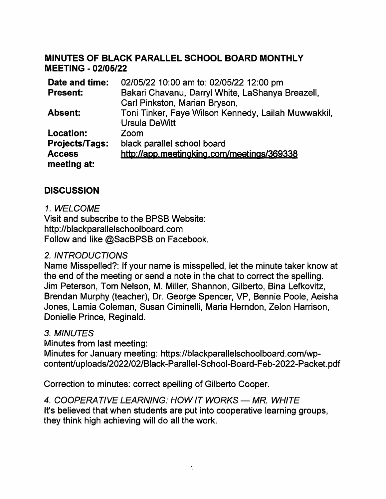#### MINUTES OF BLACK PARALLEL SCHOOL BOARD MONTHLY MEETING -02/05/22

| Date and time:   | 02/05/22 10:00 am to: 02/05/22 12:00 pm             |  |
|------------------|-----------------------------------------------------|--|
| <b>Present:</b>  | Bakari Chavanu, Darryl White, LaShanya Breazell,    |  |
|                  | Carl Pinkston, Marian Bryson,                       |  |
| <b>Absent:</b>   | Toni Tinker, Faye Wilson Kennedy, Lailah Muwwakkil, |  |
|                  | <b>Ursula DeWitt</b>                                |  |
| <b>Location:</b> | Zoom                                                |  |
| Projects/Tags:   | black parallel school board                         |  |
| <b>Access</b>    | http://app.meetingking.com/meetings/369338          |  |
| meeting at:      |                                                     |  |
|                  |                                                     |  |

#### **DISCUSSION**

#### 1. WELCOME

Visit and subscribe to the BPSB Website: http://blackparallelschooIboard.com Follow and like @SacBPSB on Facebook.

#### 2. INTRODUCTIONS

Name Misspelled?: If your name is misspelled, let the minute taker know at the end of the meeting or send a note in the chat to correct the spelling. Jim Peterson, Tom Nelson, M. Miller, Shannon, Giiberto, Bina Lefkovitz, Brendan Murphy (teacher). Dr. George Spencer, VP, Bennie Poole, Aeisha Jones, Lamia Coleman, Susan Ciminelli, Maria Herndon, Zelon Harrison, Donielle Prince, Reginald.

#### 3. MINUTES

Minutes from last meeting:

Minutes for January meeting: https://blackparallelschoolboard.com/wpcontent/uploads/2022/02/Black-Parallel-School-Board-Feb-2022-Packet.pdf

Correction to minutes: correct spelling of Giiberto Cooper.

#### 4. COOPERATIVE LEARNING: HOW IT WORKS - MR. WHITE It's believed that when students are put into cooperative learning groups, they think high achieving will do all the work.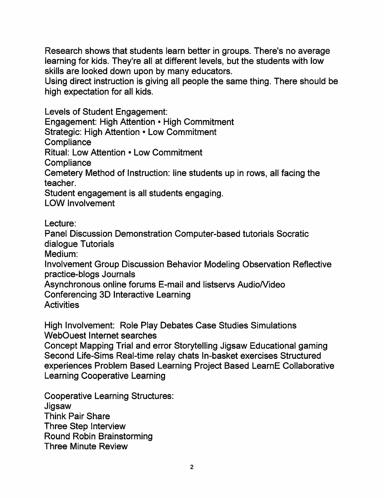Research shows that students learn better in groups. There's no average learning for kids. They're all at different levels, but the students with low skills are looked down upon by many educators.

Using direct instruction is giving all people the same thing. There should be high expectation for all kids.

Levels of Student Engagement: Engagement: High Attention ● High Commitment Strategic: High Attention ● Low Commitment **Compliance** Ritual: Low Attention ● Low Commitment **Compliance** Cemetery Method of Instruction: line students up in rows, all facing the teacher. Student engagement is all students engaging. LOW Involvement

Lecture:

Panel Discussion Demonstration Computer-based tutorials Socratic dialogue Tutorials

Medium;

Involvement Group Discussion Behavior Modeling Observation Reflective practice-blogs Journals

Asynchronous online forums E-mail and listservs Audio/Video

Conferencing 3D interactive Learning

**Activities** 

High Involvement: Role Play Debates Case Studies Simulations WebOuest Internet searches

Concept Mapping Trial and error Storytelling Jigsaw Educational gaming Second Life-Sims Real-time relay chats In-basket exercises Structured experiences Problem Based Learning Project Based LearnE Collaborative Learning Cooperative Learning

Cooperative Learning Structures: **Jigsaw** Think Pair Share Three Step Interview Round Robin Brainstorming Three Minute Review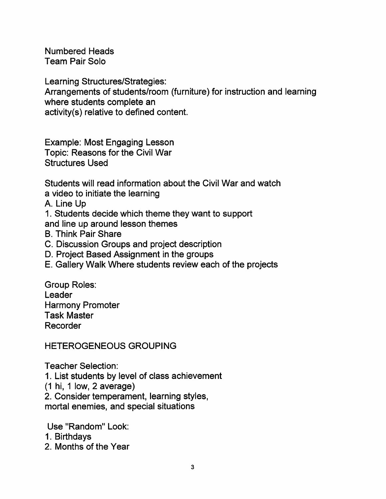Numbered Heads Team Pair Solo

Learning Structures/Strategies:

Arrangements of students/room (furniture) for instruction and learning where students complete an

activity(s) relative to defined content.

Example: Most Engaging Lesson Topic: Reasons for the Civil War Structures Used

Students will read information about the Civil War and watch a video to initiate the learning

A. Line Up

1. Students decide which theme they want to support and line up around lesson themes

- B. Think Pair Share
- C. Discussion Groups and project description
- D. Project Based Assignment in the groups
- E. Gallery Walk Where students review each of the projects

Group Roles: Leader Harmony Promoter Task Master Recorder

HETEROGENEOUS GROUPING

Teacher Selection:

1. List students by level of class achievement

(1 hi, 1 low, 2 average)

2. Consider temperament. learning styles,

mortal enemies, and special situations

Use "Random" Look:

- 1. Birthdays
- 2. Months of the Year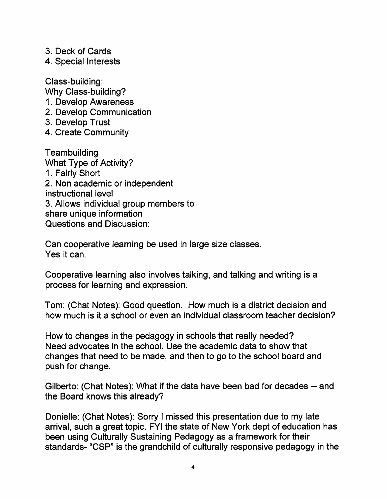- 3. Deck of Cards
- 4. Special Interests

Class-building: Why Class-building? 1. Develop Awareness

- 2. Develop Communication
- 3. Develop Trust
- 4. Create Community

Teambuilding What Type of Activity? 1. Fairly Short 2. Non academic or independent instructional level 3. Allows individual group members to share unique information Questions and Discussion:

Can cooperative learning be used in large size classes. Yes it can.

Cooperative learning also involves talking, and talking and writing is a process for learning and expression.

Tom; (Chat Notes): Good question. How much is a district decision and how much is it a school or even an individual classroom teacher decision?

How to changes in the pedagogy in schools that really needed? Need advocates in the school. Use the academic data to show that changes that need to be made, and then to go to the school board and push for change.

Gilberto: (Chat Notes): What if the data have been bad for decades — and the Board knows this already?

Donielle: (Chat Notes); Sorry I missed this presentation due to my late arrival, such a great topic. FYI the state of New York dept of education has been using Culturally Sustaining Pedagogy as a framework for their standards- "CSP" is the grandchild of culturally responsive pedagogy in the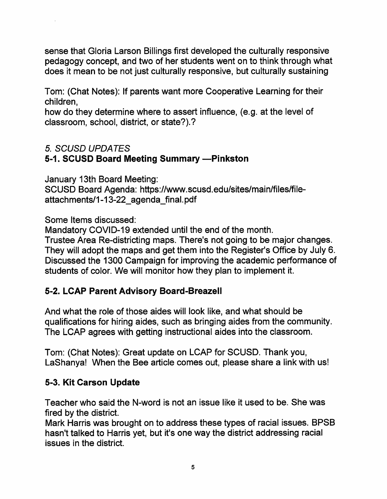sense that Gloria Larson Billings first developed the culturally responsive pedagogy concept, and two of her students went on to think through what does it mean to be not just culturally responsive, but culturally sustaining

Tom: (Chat Notes): If parents want more Cooperative Learning for their children,

how do they determine where to assert influence, (e.g. at the level of classroom, school, district, or state?).?

# 5. SCUSD UPDATES

#### 5-1. SCUSD Board Meeting Summary —Pinkston

January 13th Board Meeting: SCUSD Board Agenda: https://www.scusd.edu/sites/main/files/fileattachments/1-13-22\_agenda\_final.pdf

Some Items discussed:

Mandatory COVID-19 extended until the end of the month.

Trustee Area Re-districting maps. There's not going to be major changes. They will adopt the maps and get them into the Register's Office by July 6. Discussed the 1300 Campaign for improving the academic performance of students of color. We will monitor how they plan to implement it.

# 5-2. LCAP Parent Advisory Board-Breazell

And what the role of those aides will look like, and what should be qualifications for hiring aides, such as bringing aides from the community. The LCAP agrees with getting instructional aides into the classroom.

Tom: (Chat Notes): Great update on LCAP for SCUSD. Thank you, LaShanya! When the Bee article comes out. please share a link with us!

# 5-3. Kit Carson Update

Teacher who said the N-word is not an issue like it used to be. She was fired by the district.

Mark Harris was brought on to address these types of racial issues. BPSB hasn't talked to Harris yet. but it's one way the district addressing racial issues in the district.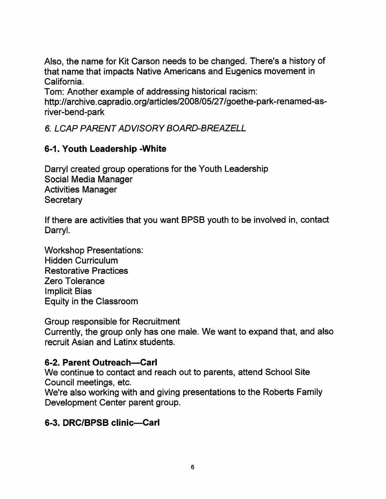Also, the name for Kit Carson needs to be changed. There's a history of that name that impacts Native Americans and Eugenics movement in California.

Tom: Another example of addressing historical racism:

http://archive.capradio.org/articles/2008/05/27/goethe-park-renamed-asriver-bend-park

6. LCAP PARENT ADVISORY BOARD-BREAZELL

# 6-1. Youth Leadership -White

Darryl created group operations for the Youth Leadership Social Media Manager Activities Manager **Secretary** 

If there are activities that you want BPSB youth to be involved in. contact Darryl.

Workshop Presentations: Hidden Curriculum Restorative Practices Zero Tolerance Implicit Bias Equity in the Classroom

Group responsible for Recruitment

Currently, the group only has one male. We want to expand that, and also recruit Asian and Latinx students.

#### 6-2. Parent Outreach—Carl

We continue to contact and reach out to parents, attend School Site Council meetings, etc.

We're also working with and giving presentations to the Roberts Family Development Center parent group.

#### 6-3. DRC/BPSB clinic—Carl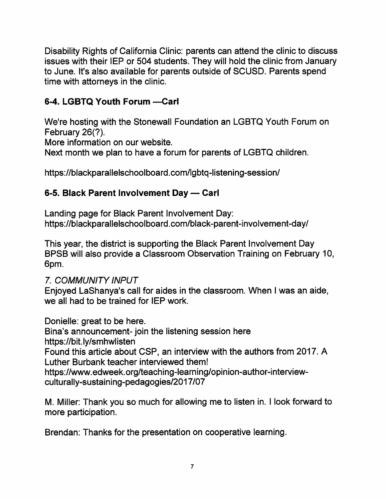Disability Rights of California Clinic: parents can attend the clinic to discuss issues with their lEP or 504 students. They will hold the clinic from January to June. It's also available for parents outside of SCUSD. Parents spend time with attorneys in the clinic.

# 6-4. LGBTQ Youth Forum -Carl

We're hosting with the Stonewall Foundation an LGBTQ Youth Forum on February 26(?).

More information on our website.

Next month we plan to have a forum for parents of LGBTQ children.

https://blackparallelschoolboard.com/lgbtq-listening-session/

# 6-5. Black Parent Involvement Day - Carl

Landing page for Black Parent Involvement Day: https://blackparallelschoolboard.com/black-parent-involvement-day/

This year, the district is supporting the Black Parent Involvement Day BPSB will also provide a Classroom Observation Training on February 10 6pm.

# 7. COMMUNITY INPUT

Enjoyed LaShanya's call for aides in the classroom. When I was an aide, we all had to be trained for lEP work.

Donielle: great to be here.

Bina's announcement-join the listening session here https://bit.ly/smhwlisten Found this article about CSP, an interview with the authors from 2017. A

Luther Burbank teacher interviewed them!

https://www.edweek.org/teaching-learning/opinion-author-interviewculturally-sustaining-pedagogies/2017/07

M. Miller: Thank you so much for allowing me to listen in. I look forward to more participation.

Brendan: Thanks for the presentation on cooperative learning.